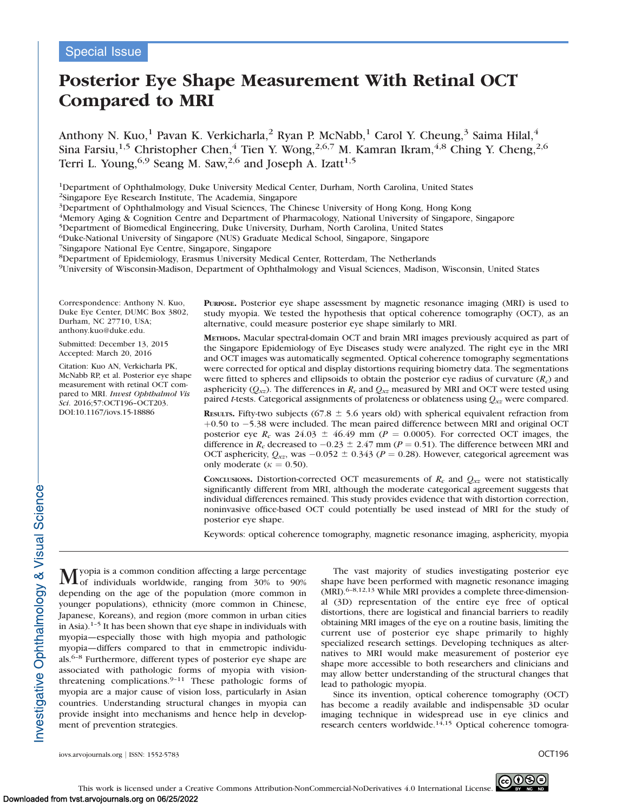# Posterior Eye Shape Measurement With Retinal OCT Compared to MRI

Anthony N. Kuo,<sup>1</sup> Pavan K. Verkicharla,<sup>2</sup> Ryan P. McNabb,<sup>1</sup> Carol Y. Cheung,<sup>3</sup> Saima Hilal,<sup>4</sup> Sina Farsiu,<sup>1,5</sup> Christopher Chen,<sup>4</sup> Tien Y. Wong,<sup>2,6,7</sup> M. Kamran Ikram,<sup>4,8</sup> Ching Y. Cheng,<sup>2,6</sup> Terri L. Young,<sup>6,9</sup> Seang M. Saw,<sup>2,6</sup> and Joseph A. Izatt<sup>1,5</sup>

1Department of Ophthalmology, Duke University Medical Center, Durham, North Carolina, United States

2Singapore Eye Research Institute, The Academia, Singapore

3Department of Ophthalmology and Visual Sciences, The Chinese University of Hong Kong, Hong Kong

4Memory Aging & Cognition Centre and Department of Pharmacology, National University of Singapore, Singapore

5Department of Biomedical Engineering, Duke University, Durham, North Carolina, United States

6Duke-National University of Singapore (NUS) Graduate Medical School, Singapore, Singapore

7Singapore National Eye Centre, Singapore, Singapore

8Department of Epidemiology, Erasmus University Medical Center, Rotterdam, The Netherlands

9University of Wisconsin-Madison, Department of Ophthalmology and Visual Sciences, Madison, Wisconsin, United States

Correspondence: Anthony N. Kuo, Duke Eye Center, DUMC Box 3802, Durham, NC 27710, USA; anthony.kuo@duke.edu.

Submitted: December 13, 2015 Accepted: March 20, 2016

Citation: Kuo AN, Verkicharla PK, McNabb RP, et al. Posterior eye shape measurement with retinal OCT compared to MRI. Invest Ophthalmol Vis Sci. 2016;57:OCT196–OCT203. DOI:10.1167/iovs.15-18886

PURPOSE. Posterior eye shape assessment by magnetic resonance imaging (MRI) is used to study myopia. We tested the hypothesis that optical coherence tomography (OCT), as an alternative, could measure posterior eye shape similarly to MRI.

METHODS. Macular spectral-domain OCT and brain MRI images previously acquired as part of the Singapore Epidemiology of Eye Diseases study were analyzed. The right eye in the MRI and OCT images was automatically segmented. Optical coherence tomography segmentations were corrected for optical and display distortions requiring biometry data. The segmentations were fitted to spheres and ellipsoids to obtain the posterior eye radius of curvature  $(R<sub>c</sub>)$  and asphericity ( $Q_{xz}$ ). The differences in  $R_c$  and  $Q_{xz}$  measured by MRI and OCT were tested using paired *t*-tests. Categorical assignments of prolateness or oblateness using  $Q_{xx}$  were compared.

RESULTS. Fifty-two subjects (67.8  $\pm$  5.6 years old) with spherical equivalent refraction from  $+0.50$  to  $-5.38$  were included. The mean paired difference between MRI and original OCT posterior eye  $R_c$  was 24.03  $\pm$  46.49 mm (P = 0.0005). For corrected OCT images, the difference in  $R_c$  decreased to  $-0.23 \pm 2.47$  mm ( $P = 0.51$ ). The difference between MRI and OCT asphericity,  $Q_{\alpha z}$ , was  $-0.052 \pm 0.343$  ( $P = 0.28$ ). However, categorical agreement was only moderate ( $\kappa = 0.50$ ).

CONCLUSIONS. Distortion-corrected OCT measurements of  $R_c$  and  $Q_{xx}$  were not statistically significantly different from MRI, although the moderate categorical agreement suggests that individual differences remained. This study provides evidence that with distortion correction, noninvasive office-based OCT could potentially be used instead of MRI for the study of posterior eye shape.

Keywords: optical coherence tomography, magnetic resonance imaging, asphericity, myopia

Myopia is a common condition affecting a large percentage<br>of individuals worldwide, ranging from 30% to 90% depending on the age of the population (more common in younger populations), ethnicity (more common in Chinese, Japanese, Koreans), and region (more common in urban cities in Asia). $1-5$  It has been shown that eye shape in individuals with myopia—especially those with high myopia and pathologic myopia—differs compared to that in emmetropic individuals.6–8 Furthermore, different types of posterior eye shape are associated with pathologic forms of myopia with visionthreatening complications.<sup>9-11</sup> These pathologic forms of myopia are a major cause of vision loss, particularly in Asian countries. Understanding structural changes in myopia can provide insight into mechanisms and hence help in development of prevention strategies.

The vast majority of studies investigating posterior eye shape have been performed with magnetic resonance imaging (MRI).<sup>6-8,12,13</sup> While MRI provides a complete three-dimensional (3D) representation of the entire eye free of optical distortions, there are logistical and financial barriers to readily obtaining MRI images of the eye on a routine basis, limiting the current use of posterior eye shape primarily to highly specialized research settings. Developing techniques as alternatives to MRI would make measurement of posterior eye shape more accessible to both researchers and clinicians and may allow better understanding of the structural changes that lead to pathologic myopia.

Since its invention, optical coherence tomography (OCT) has become a readily available and indispensable 3D ocular imaging technique in widespread use in eye clinics and research centers worldwide.<sup>14,15</sup> Optical coherence tomogra-

Investigative Ophthalmology & Visual Science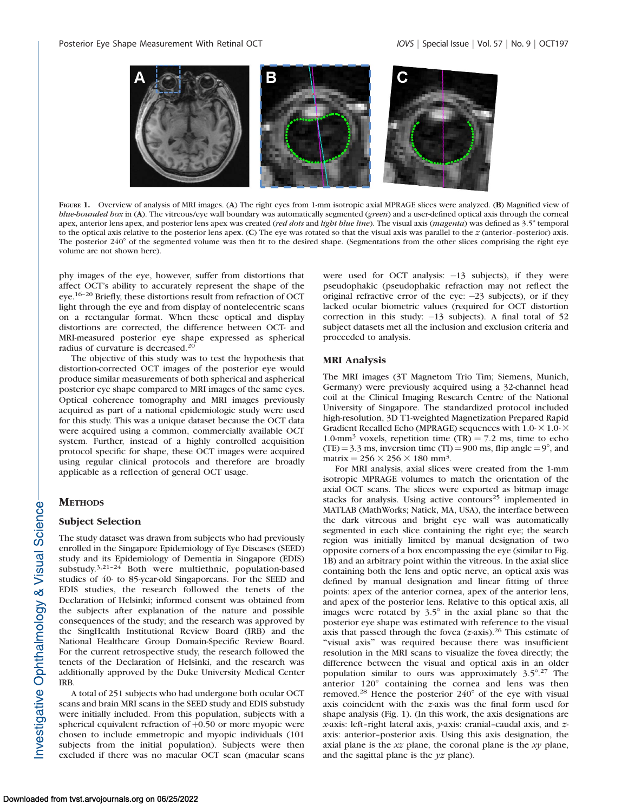

FIGURE 1. Overview of analysis of MRI images. (A) The right eyes from 1-mm isotropic axial MPRAGE slices were analyzed. (B) Magnified view of blue-bounded box in (A). The vitreous/eye wall boundary was automatically segmented (green) and a user-defined optical axis through the corneal apex, anterior lens apex, and posterior lens apex was created (red dots and light blue line). The visual axis (magenta) was defined as 3.5° temporal to the optical axis relative to the posterior lens apex. (C) The eye was rotated so that the visual axis was parallel to the  $z$  (anterior–posterior) axis. The posterior  $240^{\circ}$  of the segmented volume was then fit to the desired shape. (Segmentations from the other slices comprising the right eye volume are not shown here).

phy images of the eye, however, suffer from distortions that affect OCT's ability to accurately represent the shape of the eye.16–20 Briefly, these distortions result from refraction of OCT light through the eye and from display of nontelecentric scans on a rectangular format. When these optical and display distortions are corrected, the difference between OCT- and MRI-measured posterior eye shape expressed as spherical radius of curvature is decreased.<sup>20</sup>

The objective of this study was to test the hypothesis that distortion-corrected OCT images of the posterior eye would produce similar measurements of both spherical and aspherical posterior eye shape compared to MRI images of the same eyes. Optical coherence tomography and MRI images previously acquired as part of a national epidemiologic study were used for this study. This was a unique dataset because the OCT data were acquired using a common, commercially available OCT system. Further, instead of a highly controlled acquisition protocol specific for shape, these OCT images were acquired using regular clinical protocols and therefore are broadly applicable as a reflection of general OCT usage.

# **METHODS**

#### Subject Selection

The study dataset was drawn from subjects who had previously enrolled in the Singapore Epidemiology of Eye Diseases (SEED) study and its Epidemiology of Dementia in Singapore (EDIS) substudy. $3,21-24$  Both were multiethnic, population-based studies of 40- to 85-year-old Singaporeans. For the SEED and EDIS studies, the research followed the tenets of the Declaration of Helsinki; informed consent was obtained from the subjects after explanation of the nature and possible consequences of the study; and the research was approved by the SingHealth Institutional Review Board (IRB) and the National Healthcare Group Domain-Specific Review Board. For the current retrospective study, the research followed the tenets of the Declaration of Helsinki, and the research was additionally approved by the Duke University Medical Center IRB.

A total of 251 subjects who had undergone both ocular OCT scans and brain MRI scans in the SEED study and EDIS substudy were initially included. From this population, subjects with a spherical equivalent refraction of  $+0.50$  or more myopic were chosen to include emmetropic and myopic individuals (101 subjects from the initial population). Subjects were then excluded if there was no macular OCT scan (macular scans

were used for OCT analysis:  $-13$  subjects), if they were pseudophakic (pseudophakic refraction may not reflect the original refractive error of the eye:  $-23$  subjects), or if they lacked ocular biometric values (required for OCT distortion correction in this study:  $-13$  subjects). A final total of 52 subject datasets met all the inclusion and exclusion criteria and proceeded to analysis.

# MRI Analysis

The MRI images (3T Magnetom Trio Tim; Siemens, Munich, Germany) were previously acquired using a 32-channel head coil at the Clinical Imaging Research Centre of the National University of Singapore. The standardized protocol included high-resolution, 3D T1-weighted Magnetization Prepared Rapid Gradient Recalled Echo (MPRAGE) sequences with  $1.0- \times 1.0- \times$ 1.0-mm<sup>3</sup> voxels, repetition time (TR) = 7.2 ms, time to echo (TE) = 3.3 ms, inversion time (TI) = 900 ms, flip angle =  $9^{\circ}$ , and matrix =  $256 \times 256 \times 180$  mm<sup>3</sup>.

For MRI analysis, axial slices were created from the 1-mm isotropic MPRAGE volumes to match the orientation of the axial OCT scans. The slices were exported as bitmap image stacks for analysis. Using active contours<sup>25</sup> implemented in MATLAB (MathWorks; Natick, MA, USA), the interface between the dark vitreous and bright eye wall was automatically segmented in each slice containing the right eye; the search region was initially limited by manual designation of two opposite corners of a box encompassing the eye (similar to Fig. 1B) and an arbitrary point within the vitreous. In the axial slice containing both the lens and optic nerve, an optical axis was defined by manual designation and linear fitting of three points: apex of the anterior cornea, apex of the anterior lens, and apex of the posterior lens. Relative to this optical axis, all images were rotated by  $3.5^{\circ}$  in the axial plane so that the posterior eye shape was estimated with reference to the visual axis that passed through the fovea  $(z$ -axis).<sup>26</sup> This estimate of ''visual axis'' was required because there was insufficient resolution in the MRI scans to visualize the fovea directly; the difference between the visual and optical axis in an older population similar to ours was approximately  $3.5^{\circ}.^{27}$  The anterior  $120^{\circ}$  containing the cornea and lens was then removed.<sup>28</sup> Hence the posterior 240° of the eye with visual axis coincident with the z-axis was the final form used for shape analysis (Fig. 1). (In this work, the axis designations are x-axis: left–right lateral axis, y-axis: cranial–caudal axis, and zaxis: anterior–posterior axis. Using this axis designation, the axial plane is the  $xz$  plane, the coronal plane is the  $xy$  plane, and the sagittal plane is the  $yz$  plane).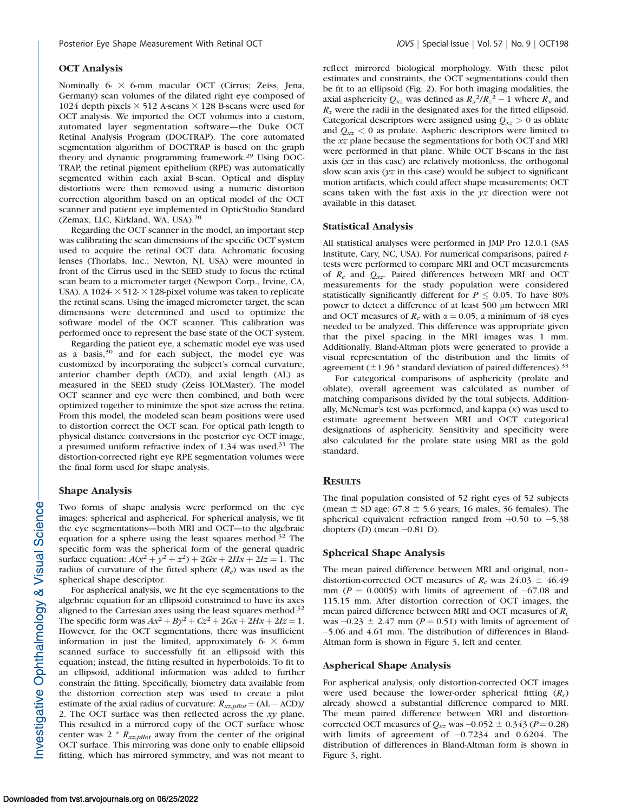Nominally 6- $\times$  6-mm macular OCT (Cirrus; Zeiss, Jena, Germany) scan volumes of the dilated right eye composed of 1024 depth pixels  $\times$  512 A-scans  $\times$  128 B-scans were used for OCT analysis. We imported the OCT volumes into a custom, automated layer segmentation software—the Duke OCT Retinal Analysis Program (DOCTRAP). The core automated segmentation algorithm of DOCTRAP is based on the graph theory and dynamic programming framework.29 Using DOC-TRAP, the retinal pigment epithelium (RPE) was automatically segmented within each axial B-scan. Optical and display distortions were then removed using a numeric distortion correction algorithm based on an optical model of the OCT scanner and patient eye implemented in OpticStudio Standard (Zemax, LLC, Kirkland, WA, USA).<sup>20</sup>

Regarding the OCT scanner in the model, an important step was calibrating the scan dimensions of the specific OCT system used to acquire the retinal OCT data. Achromatic focusing lenses (Thorlabs, Inc.; Newton, NJ, USA) were mounted in front of the Cirrus used in the SEED study to focus the retinal scan beam to a micrometer target (Newport Corp., Irvine, CA, USA). A 1024- $\times$  512- $\times$  128-pixel volume was taken to replicate the retinal scans. Using the imaged micrometer target, the scan dimensions were determined and used to optimize the software model of the OCT scanner. This calibration was performed once to represent the base state of the OCT system.

Regarding the patient eye, a schematic model eye was used as a basis, $30$  and for each subject, the model eye was customized by incorporating the subject's corneal curvature, anterior chamber depth (ACD), and axial length (AL) as measured in the SEED study (Zeiss IOLMaster). The model OCT scanner and eye were then combined, and both were optimized together to minimize the spot size across the retina. From this model, the modeled scan beam positions were used to distortion correct the OCT scan. For optical path length to physical distance conversions in the posterior eye OCT image, a presumed uniform refractive index of  $1.34$  was used.<sup>31</sup> The distortion-corrected right eye RPE segmentation volumes were the final form used for shape analysis.

## Shape Analysis

Two forms of shape analysis were performed on the eye images: spherical and aspherical. For spherical analysis, we fit the eye segmentations—both MRI and OCT—to the algebraic equation for a sphere using the least squares method.<sup>32</sup> The specific form was the spherical form of the general quadric surface equation:  $A(x^2 + y^2 + z^2) + 2Gx + 2Hx + 2Iz = 1$ . The radius of curvature of the fitted sphere  $(R_c)$  was used as the spherical shape descriptor.

For aspherical analysis, we fit the eye segmentations to the algebraic equation for an ellipsoid constrained to have its axes aligned to the Cartesian axes using the least squares method.<sup>32</sup> The specific form was  $Ax^2 + By^2 + Cz^2 + 2Gx + 2Hx + 2Iz = 1$ . However, for the OCT segmentations, there was insufficient information in just the limited, approximately  $6- \times 6$ -mm scanned surface to successfully fit an ellipsoid with this equation; instead, the fitting resulted in hyperboloids. To fit to an ellipsoid, additional information was added to further constrain the fitting. Specifically, biometry data available from the distortion correction step was used to create a pilot estimate of the axial radius of curvature:  $R_{xx, pilot} = (AL - ACD)/$ 2. The OCT surface was then reflected across the  $xy$  plane. This resulted in a mirrored copy of the OCT surface whose center was  $2 * R_{xz, pilot}$  away from the center of the original OCT surface. This mirroring was done only to enable ellipsoid fitting, which has mirrored symmetry, and was not meant to

reflect mirrored biological morphology. With these pilot estimates and constraints, the OCT segmentations could then be fit to an ellipsoid (Fig. 2). For both imaging modalities, the axial asphericity  $Q_{xz}$  was defined as  $R_x^2/R_z^2 - 1$  where  $R_x$  and  $R<sub>z</sub>$  were the radii in the designated axes for the fitted ellipsoid. Categorical descriptors were assigned using  $Q_{xz} > 0$  as oblate and  $Q_{xz}$  < 0 as prolate. Aspheric descriptors were limited to the xz plane because the segmentations for both OCT and MRI were performed in that plane. While OCT B-scans in the fast axis (xz in this case) are relatively motionless, the orthogonal slow scan axis ( $yz$  in this case) would be subject to significant motion artifacts, which could affect shape measurements; OCT scans taken with the fast axis in the  $yz$  direction were not available in this dataset.

#### Statistical Analysis

All statistical analyses were performed in JMP Pro 12.0.1 (SAS Institute, Cary, NC, USA). For numerical comparisons, paired ttests were performed to compare MRI and OCT measurements of  $R_c$  and  $Q_{xx}$ . Paired differences between MRI and OCT measurements for the study population were considered statistically significantly different for  $P \le 0.05$ . To have 80% power to detect a difference of at least 500 µm between MRI and OCT measures of  $R_c$  with  $\alpha = 0.05$ , a minimum of 48 eyes needed to be analyzed. This difference was appropriate given that the pixel spacing in the MRI images was 1 mm. Additionally, Bland-Altman plots were generated to provide a visual representation of the distribution and the limits of agreement ( $\pm$ 1.96  $*$  standard deviation of paired differences).<sup>33</sup>

For categorical comparisons of asphericity (prolate and oblate), overall agreement was calculated as number of matching comparisons divided by the total subjects. Additionally, McNemar's test was performed, and kappa  $(k)$  was used to estimate agreement between MRI and OCT categorical designations of asphericity. Sensitivity and specificity were also calculated for the prolate state using MRI as the gold standard.

## **RESULTS**

The final population consisted of 52 right eyes of 52 subjects (mean  $\pm$  SD age: 67.8  $\pm$  5.6 years; 16 males, 36 females). The spherical equivalent refraction ranged from  $+0.50$  to  $-5.38$ diopters (D) (mean -0.81 D).

# Spherical Shape Analysis

The mean paired difference between MRI and original, non– distortion-corrected OCT measures of  $R_c$  was 24.03  $\pm$  46.49 mm ( $P = 0.0005$ ) with limits of agreement of  $-67.08$  and 115.15 mm. After distortion correction of OCT images, the mean paired difference between MRI and OCT measures of  $R_c$ was  $-0.23 \pm 2.47$  mm ( $P = 0.51$ ) with limits of agreement of -5.06 and 4.61 mm. The distribution of differences in Bland-Altman form is shown in Figure 3, left and center.

## Aspherical Shape Analysis

For aspherical analysis, only distortion-corrected OCT images were used because the lower-order spherical fitting  $(R<sub>c</sub>)$ already showed a substantial difference compared to MRI. The mean paired difference between MRI and distortioncorrected OCT measures of  $Q_{xz}$  was  $-0.052 \pm 0.343$  ( $P = 0.28$ ) with limits of agreement of  $-0.7234$  and 0.6204. The distribution of differences in Bland-Altman form is shown in Figure 3, right.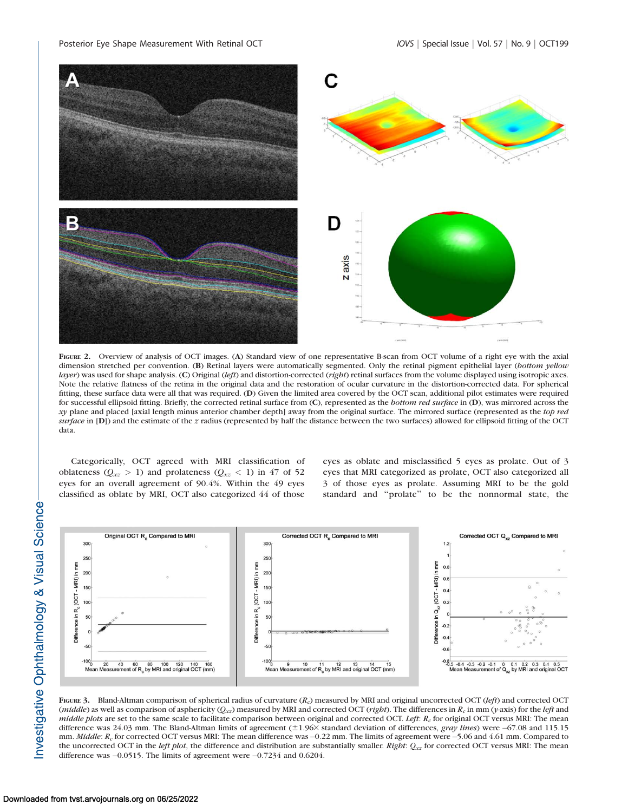

FIGURE 2. Overview of analysis of OCT images. (A) Standard view of one representative B-scan from OCT volume of a right eye with the axial dimension stretched per convention. (B) Retinal layers were automatically segmented. Only the retinal pigment epithelial layer (bottom yellow layer) was used for shape analysis. (C) Original (left) and distortion-corrected (right) retinal surfaces from the volume displayed using isotropic axes. Note the relative flatness of the retina in the original data and the restoration of ocular curvature in the distortion-corrected data. For spherical fitting, these surface data were all that was required. (D) Given the limited area covered by the OCT scan, additional pilot estimates were required for successful ellipsoid fitting. Briefly, the corrected retinal surface from (C), represented as the bottom red surface in (D), was mirrored across the xy plane and placed [axial length minus anterior chamber depth] away from the original surface. The mirrored surface (represented as the top red surface in [D]) and the estimate of the z radius (represented by half the distance between the two surfaces) allowed for ellipsoid fitting of the OCT data.

Categorically, OCT agreed with MRI classification of oblateness ( $Q_{xz} > 1$ ) and prolateness ( $Q_{xz} < 1$ ) in 47 of 52 eyes for an overall agreement of 90.4%. Within the 49 eyes classified as oblate by MRI, OCT also categorized 44 of those

eyes as oblate and misclassified 5 eyes as prolate. Out of 3 eyes that MRI categorized as prolate, OCT also categorized all 3 of those eyes as prolate. Assuming MRI to be the gold standard and ''prolate'' to be the nonnormal state, the



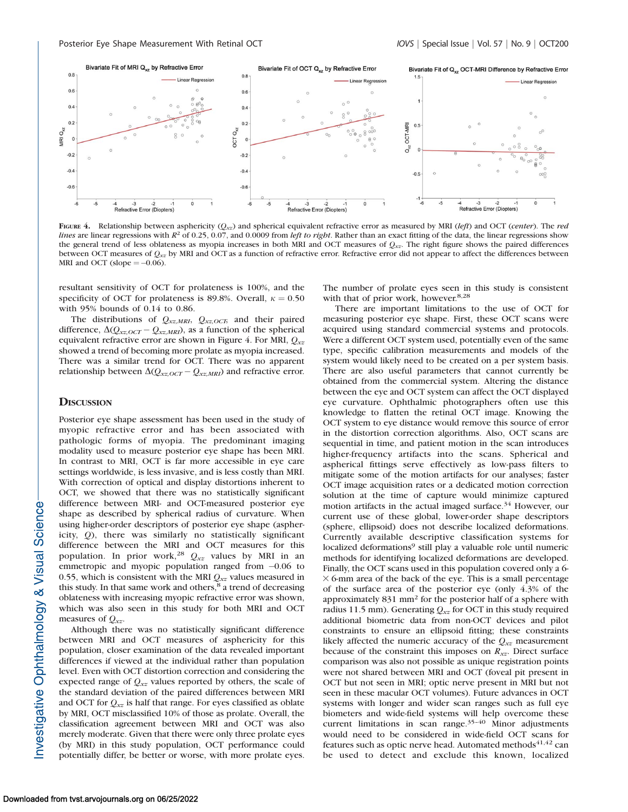

FIGURE 4. Relationship between asphericity  $(Q_{xz})$  and spherical equivalent refractive error as measured by MRI (left) and OCT (center). The red lines are linear regressions with  $R^2$  of 0.25, 0.07, and 0.0009 from *left to right*. Rather than an exact fitting of the data, the linear regressions show the general trend of less oblateness as myopia increases in both MRI and OCT measures of  $Q_{xx}$ . The right figure shows the paired differences between OCT measures of  $Q_{xz}$  by MRI and OCT as a function of refractive error. Refractive error did not appear to affect the differences between MRI and OCT (slope  $=$   $-0.06$ ).

resultant sensitivity of OCT for prolateness is 100%, and the specificity of OCT for prolateness is 89.8%. Overall,  $\kappa = 0.50$ with 95% bounds of 0.14 to 0.86.

The distributions of  $Q_{xz,MRI}$ ,  $Q_{xz,OCT}$ , and their paired difference,  $\Delta (Q_{xx,OCT} - Q_{xx,MRI})$ , as a function of the spherical equivalent refractive error are shown in Figure 4. For MRI,  $Q_{xz}$ showed a trend of becoming more prolate as myopia increased. There was a similar trend for OCT. There was no apparent relationship between  $\Delta(Q_{xx,OCT}-Q_{xx,MRI})$  and refractive error.

# **DISCUSSION**

Posterior eye shape assessment has been used in the study of myopic refractive error and has been associated with pathologic forms of myopia. The predominant imaging modality used to measure posterior eye shape has been MRI. In contrast to MRI, OCT is far more accessible in eye care settings worldwide, is less invasive, and is less costly than MRI. With correction of optical and display distortions inherent to OCT, we showed that there was no statistically significant difference between MRI- and OCT-measured posterior eye shape as described by spherical radius of curvature. When using higher-order descriptors of posterior eye shape (asphericity, Q), there was similarly no statistically significant difference between the MRI and OCT measures for this population. In prior work,<sup>28</sup>  $Q_{xz}$  values by MRI in an emmetropic and myopic population ranged from  $-0.06$  to 0.55, which is consistent with the MRI  $Q_{xz}$  values measured in this study. In that same work and others,<sup>8</sup> a trend of decreasing oblateness with increasing myopic refractive error was shown, which was also seen in this study for both MRI and OCT measures of  $Q_{xx}$ .

Although there was no statistically significant difference between MRI and OCT measures of asphericity for this population, closer examination of the data revealed important differences if viewed at the individual rather than population level. Even with OCT distortion correction and considering the expected range of  $Q_{xx}$  values reported by others, the scale of the standard deviation of the paired differences between MRI and OCT for  $Q_{xz}$  is half that range. For eyes classified as oblate by MRI, OCT misclassified 10% of those as prolate. Overall, the classification agreement between MRI and OCT was also merely moderate. Given that there were only three prolate eyes (by MRI) in this study population, OCT performance could potentially differ, be better or worse, with more prolate eyes. The number of prolate eyes seen in this study is consistent with that of prior work, however.<sup>8,28</sup>

There are important limitations to the use of OCT for measuring posterior eye shape. First, these OCT scans were acquired using standard commercial systems and protocols. Were a different OCT system used, potentially even of the same type, specific calibration measurements and models of the system would likely need to be created on a per system basis. There are also useful parameters that cannot currently be obtained from the commercial system. Altering the distance between the eye and OCT system can affect the OCT displayed eye curvature. Ophthalmic photographers often use this knowledge to flatten the retinal OCT image. Knowing the OCT system to eye distance would remove this source of error in the distortion correction algorithms. Also, OCT scans are sequential in time, and patient motion in the scan introduces higher-frequency artifacts into the scans. Spherical and aspherical fittings serve effectively as low-pass filters to mitigate some of the motion artifacts for our analyses; faster OCT image acquisition rates or a dedicated motion correction solution at the time of capture would minimize captured motion artifacts in the actual imaged surface.<sup>34</sup> However, our current use of these global, lower-order shape descriptors (sphere, ellipsoid) does not describe localized deformations. Currently available descriptive classification systems for localized deformations<sup>9</sup> still play a valuable role until numeric methods for identifying localized deformations are developed. Finally, the OCT scans used in this population covered only a 6-  $\times$  6-mm area of the back of the eye. This is a small percentage of the surface area of the posterior eye (only 4.3% of the approximately 831 mm<sup>2</sup> for the posterior half of a sphere with radius 11.5 mm). Generating  $Q_{xz}$  for OCT in this study required additional biometric data from non-OCT devices and pilot constraints to ensure an ellipsoid fitting; these constraints likely affected the numeric accuracy of the  $Q_{xx}$  measurement because of the constraint this imposes on  $R_{xz}$ . Direct surface comparison was also not possible as unique registration points were not shared between MRI and OCT (foveal pit present in OCT but not seen in MRI; optic nerve present in MRI but not seen in these macular OCT volumes). Future advances in OCT systems with longer and wider scan ranges such as full eye biometers and wide-field systems will help overcome these current limitations in scan range.35–40 Minor adjustments would need to be considered in wide-field OCT scans for features such as optic nerve head. Automated methods $41,42$  can be used to detect and exclude this known, localized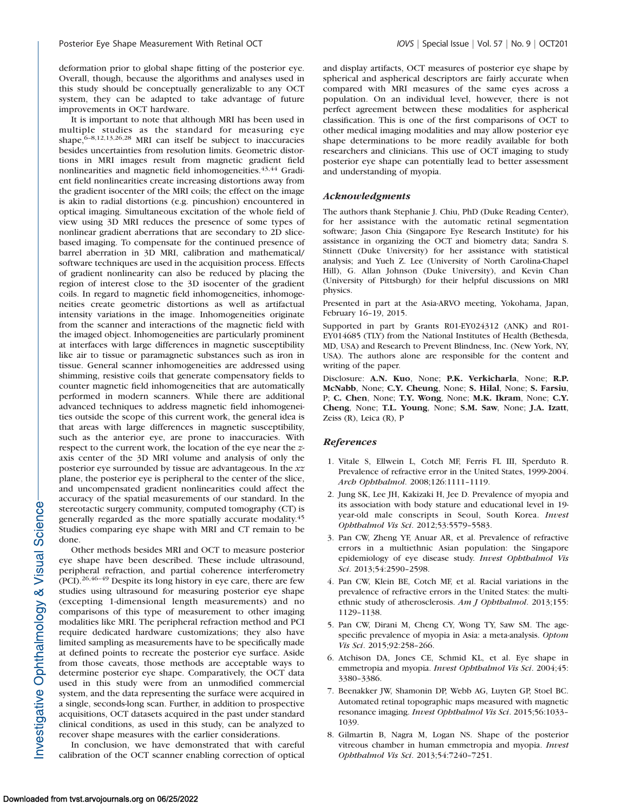deformation prior to global shape fitting of the posterior eye. Overall, though, because the algorithms and analyses used in this study should be conceptually generalizable to any OCT system, they can be adapted to take advantage of future improvements in OCT hardware.

It is important to note that although MRI has been used in multiple studies as the standard for measuring eye shape, $6-8,12,13,26,28$  MRI can itself be subject to inaccuracies besides uncertainties from resolution limits. Geometric distortions in MRI images result from magnetic gradient field nonlinearities and magnetic field inhomogeneities. $43,44$  Gradient field nonlinearities create increasing distortions away from the gradient isocenter of the MRI coils; the effect on the image is akin to radial distortions (e.g. pincushion) encountered in optical imaging. Simultaneous excitation of the whole field of view using 3D MRI reduces the presence of some types of nonlinear gradient aberrations that are secondary to 2D slicebased imaging. To compensate for the continued presence of barrel aberration in 3D MRI, calibration and mathematical/ software techniques are used in the acquisition process. Effects of gradient nonlinearity can also be reduced by placing the region of interest close to the 3D isocenter of the gradient coils. In regard to magnetic field inhomogeneities, inhomogeneities create geometric distortions as well as artifactual intensity variations in the image. Inhomogeneities originate from the scanner and interactions of the magnetic field with the imaged object. Inhomogeneities are particularly prominent at interfaces with large differences in magnetic susceptibility like air to tissue or paramagnetic substances such as iron in tissue. General scanner inhomogeneities are addressed using shimming, resistive coils that generate compensatory fields to counter magnetic field inhomogeneities that are automatically performed in modern scanners. While there are additional advanced techniques to address magnetic field inhomogeneities outside the scope of this current work, the general idea is that areas with large differences in magnetic susceptibility, such as the anterior eye, are prone to inaccuracies. With respect to the current work, the location of the eye near the zaxis center of the 3D MRI volume and analysis of only the posterior eye surrounded by tissue are advantageous. In the xz plane, the posterior eye is peripheral to the center of the slice, and uncompensated gradient nonlinearities could affect the accuracy of the spatial measurements of our standard. In the stereotactic surgery community, computed tomography (CT) is generally regarded as the more spatially accurate modality.<sup>45</sup> Studies comparing eye shape with MRI and CT remain to be done.

Other methods besides MRI and OCT to measure posterior eye shape have been described. These include ultrasound, peripheral refraction, and partial coherence interferometry (PCI).26,46–49 Despite its long history in eye care, there are few studies using ultrasound for measuring posterior eye shape (excepting 1-dimensional length measurements) and no comparisons of this type of measurement to other imaging modalities like MRI. The peripheral refraction method and PCI require dedicated hardware customizations; they also have limited sampling as measurements have to be specifically made at defined points to recreate the posterior eye surface. Aside from those caveats, those methods are acceptable ways to determine posterior eye shape. Comparatively, the OCT data used in this study were from an unmodified commercial system, and the data representing the surface were acquired in a single, seconds-long scan. Further, in addition to prospective acquisitions, OCT datasets acquired in the past under standard clinical conditions, as used in this study, can be analyzed to recover shape measures with the earlier considerations.

In conclusion, we have demonstrated that with careful calibration of the OCT scanner enabling correction of optical and display artifacts, OCT measures of posterior eye shape by spherical and aspherical descriptors are fairly accurate when compared with MRI measures of the same eyes across a population. On an individual level, however, there is not perfect agreement between these modalities for aspherical classification. This is one of the first comparisons of OCT to other medical imaging modalities and may allow posterior eye shape determinations to be more readily available for both researchers and clinicians. This use of OCT imaging to study posterior eye shape can potentially lead to better assessment and understanding of myopia.

### Acknowledgments

The authors thank Stephanie J. Chiu, PhD (Duke Reading Center), for her assistance with the automatic retinal segmentation software; Jason Chia (Singapore Eye Research Institute) for his assistance in organizing the OCT and biometry data; Sandra S. Stinnett (Duke University) for her assistance with statistical analysis; and Yueh Z. Lee (University of North Carolina-Chapel Hill), G. Allan Johnson (Duke University), and Kevin Chan (University of Pittsburgh) for their helpful discussions on MRI physics.

Presented in part at the Asia-ARVO meeting, Yokohama, Japan, February 16–19, 2015.

Supported in part by Grants R01-EY024312 (ANK) and R01- EY014685 (TLY) from the National Institutes of Health (Bethesda, MD, USA) and Research to Prevent Blindness, Inc. (New York, NY, USA). The authors alone are responsible for the content and writing of the paper.

Disclosure: A.N. Kuo, None; P.K. Verkicharla, None; R.P. McNabb, None; C.Y. Cheung, None; S. Hilal, None; S. Farsiu, P; C. Chen, None; T.Y. Wong, None; M.K. Ikram, None; C.Y. Cheng, None; T.L. Young, None; S.M. Saw, None; J.A. Izatt, Zeiss (R), Leica (R), P

#### References

- 1. Vitale S, Ellwein L, Cotch MF, Ferris FL III, Sperduto R. Prevalence of refractive error in the United States, 1999-2004. Arch Ophthalmol. 2008;126:1111–1119.
- 2. Jung SK, Lee JH, Kakizaki H, Jee D. Prevalence of myopia and its association with body stature and educational level in 19 year-old male conscripts in Seoul, South Korea. Invest Ophthalmol Vis Sci. 2012;53:5579–5583.
- 3. Pan CW, Zheng YF, Anuar AR, et al. Prevalence of refractive errors in a multiethnic Asian population: the Singapore epidemiology of eye disease study. Invest Ophthalmol Vis Sci. 2013;54:2590–2598.
- 4. Pan CW, Klein BE, Cotch MF, et al. Racial variations in the prevalence of refractive errors in the United States: the multiethnic study of atherosclerosis. Am J Ophthalmol. 2013;155: 1129–1138.
- 5. Pan CW, Dirani M, Cheng CY, Wong TY, Saw SM. The agespecific prevalence of myopia in Asia: a meta-analysis. Optom Vis Sci. 2015;92:258–266.
- 6. Atchison DA, Jones CE, Schmid KL, et al. Eye shape in emmetropia and myopia. Invest Ophthalmol Vis Sci. 2004;45: 3380–3386.
- 7. Beenakker JW, Shamonin DP, Webb AG, Luyten GP, Stoel BC. Automated retinal topographic maps measured with magnetic resonance imaging. Invest Ophthalmol Vis Sci. 2015;56:1033– 1039.
- 8. Gilmartin B, Nagra M, Logan NS. Shape of the posterior vitreous chamber in human emmetropia and myopia. Invest Ophthalmol Vis Sci. 2013;54:7240–7251.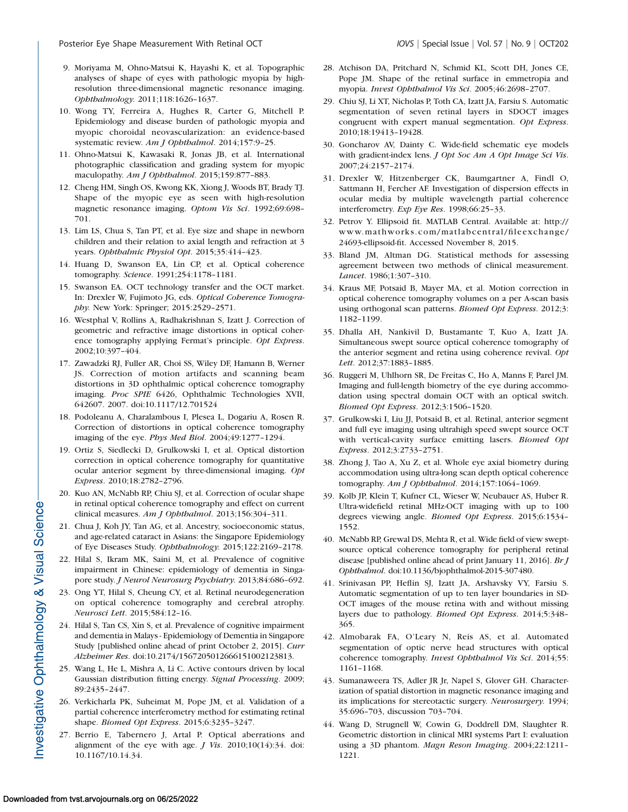- 9. Moriyama M, Ohno-Matsui K, Hayashi K, et al. Topographic analyses of shape of eyes with pathologic myopia by highresolution three-dimensional magnetic resonance imaging. Ophthalmology. 2011;118:1626–1637.
- 10. Wong TY, Ferreira A, Hughes R, Carter G, Mitchell P. Epidemiology and disease burden of pathologic myopia and myopic choroidal neovascularization: an evidence-based systematic review. Am J Ophthalmol. 2014;157:9–25.
- 11. Ohno-Matsui K, Kawasaki R, Jonas JB, et al. International photographic classification and grading system for myopic maculopathy. Am J Ophthalmol. 2015;159:877-883.
- 12. Cheng HM, Singh OS, Kwong KK, Xiong J, Woods BT, Brady TJ. Shape of the myopic eye as seen with high-resolution magnetic resonance imaging. Optom Vis Sci. 1992;69:698– 701.
- 13. Lim LS, Chua S, Tan PT, et al. Eye size and shape in newborn children and their relation to axial length and refraction at 3 years. Ophthalmic Physiol Opt. 2015;35:414–423.
- 14. Huang D, Swanson EA, Lin CP, et al. Optical coherence tomography. Science. 1991;254:1178–1181.
- 15. Swanson EA. OCT technology transfer and the OCT market. In: Drexler W, Fujimoto JG, eds. Optical Coherence Tomography. New York: Springer; 2015:2529–2571.
- 16. Westphal V, Rollins A, Radhakrishnan S, Izatt J. Correction of geometric and refractive image distortions in optical coherence tomography applying Fermat's principle. Opt Express. 2002;10:397–404.
- 17. Zawadzki RJ, Fuller AR, Choi SS, Wiley DF, Hamann B, Werner JS. Correction of motion artifacts and scanning beam distortions in 3D ophthalmic optical coherence tomography imaging. Proc SPIE 6426, Ophthalmic Technologies XVII, 642607. 2007. doi:10.1117/12.701524
- 18. Podoleanu A, Charalambous I, Plesea L, Dogariu A, Rosen R. Correction of distortions in optical coherence tomography imaging of the eye. Phys Med Biol. 2004;49:1277–1294.
- 19. Ortiz S, Siedlecki D, Grulkowski I, et al. Optical distortion correction in optical coherence tomography for quantitative ocular anterior segment by three-dimensional imaging. Opt Express. 2010;18:2782–2796.
- 20. Kuo AN, McNabb RP, Chiu SJ, et al. Correction of ocular shape in retinal optical coherence tomography and effect on current clinical measures. Am J Ophthalmol. 2013;156:304–311.
- 21. Chua J, Koh JY, Tan AG, et al. Ancestry, socioeconomic status, and age-related cataract in Asians: the Singapore Epidemiology of Eye Diseases Study. Ophthalmology. 2015;122:2169–2178.
- 22. Hilal S, Ikram MK, Saini M, et al. Prevalence of cognitive impairment in Chinese: epidemiology of dementia in Singapore study. J Neurol Neurosurg Psychiatry. 2013;84:686–692.
- 23. Ong YT, Hilal S, Cheung CY, et al. Retinal neurodegeneration on optical coherence tomography and cerebral atrophy. Neurosci Lett. 2015;584:12–16.
- 24. Hilal S, Tan CS, Xin S, et al. Prevalence of cognitive impairment and dementia in Malays - Epidemiology of Dementia in Singapore Study [published online ahead of print October 2, 2015]. Curr Alzheimer Res. doi:10.2174/1567205012666151002123813.
- 25. Wang L, He L, Mishra A, Li C. Active contours driven by local Gaussian distribution fitting energy. Signal Processing. 2009; 89:2435–2447.
- 26. Verkicharla PK, Suheimat M, Pope JM, et al. Validation of a partial coherence interferometry method for estimating retinal shape. Biomed Opt Express. 2015;6:3235–3247.
- 27. Berrio E, Tabernero J, Artal P. Optical aberrations and alignment of the eye with age.  $J$  Vis. 2010;10(14):34. doi: 10.1167/10.14.34.
- 28. Atchison DA, Pritchard N, Schmid KL, Scott DH, Jones CE, Pope JM. Shape of the retinal surface in emmetropia and myopia. Invest Ophthalmol Vis Sci. 2005;46:2698–2707.
- 29. Chiu SJ, Li XT, Nicholas P, Toth CA, Izatt JA, Farsiu S. Automatic segmentation of seven retinal layers in SDOCT images congruent with expert manual segmentation. Opt Express. 2010;18:19413–19428.
- 30. Goncharov AV, Dainty C. Wide-field schematic eye models with gradient-index lens. *J Opt Soc Am A Opt Image Sci Vis*. 2007;24:2157–2174.
- 31. Drexler W, Hitzenberger CK, Baumgartner A, Findl O, Sattmann H, Fercher AF. Investigation of dispersion effects in ocular media by multiple wavelength partial coherence interferometry. Exp Eye Res. 1998;66:25–33.
- 32. Petrov Y. Ellipsoid fit. MATLAB Central. Available at: http:// www.mathworks.com/matlabcentral/fileexchange/ 24693-ellipsoid-fit. Accessed November 8, 2015.
- 33. Bland JM, Altman DG. Statistical methods for assessing agreement between two methods of clinical measurement. Lancet. 1986;1:307–310.
- 34. Kraus MF, Potsaid B, Mayer MA, et al. Motion correction in optical coherence tomography volumes on a per A-scan basis using orthogonal scan patterns. Biomed Opt Express. 2012;3: 1182–1199.
- 35. Dhalla AH, Nankivil D, Bustamante T, Kuo A, Izatt JA. Simultaneous swept source optical coherence tomography of the anterior segment and retina using coherence revival. Opt Lett. 2012;37:1883–1885.
- 36. Ruggeri M, Uhlhorn SR, De Freitas C, Ho A, Manns F, Parel JM. Imaging and full-length biometry of the eye during accommodation using spectral domain OCT with an optical switch. Biomed Opt Express. 2012;3:1506–1520.
- 37. Grulkowski I, Liu JJ, Potsaid B, et al. Retinal, anterior segment and full eye imaging using ultrahigh speed swept source OCT with vertical-cavity surface emitting lasers. Biomed Opt Express. 2012;3:2733–2751.
- 38. Zhong J, Tao A, Xu Z, et al. Whole eye axial biometry during accommodation using ultra-long scan depth optical coherence tomography. Am J Ophthalmol. 2014;157:1064–1069.
- 39. Kolb JP, Klein T, Kufner CL, Wieser W, Neubauer AS, Huber R. Ultra-widefield retinal MHz-OCT imaging with up to 100 degrees viewing angle. Biomed Opt Express. 2015;6:1534– 1552.
- 40. McNabb RP, Grewal DS, Mehta R, et al. Wide field of view sweptsource optical coherence tomography for peripheral retinal disease [published online ahead of print January 11, 2016]. Br J Ophthalmol. doi:10.1136/bjophthalmol-2015-307480.
- 41. Srinivasan PP, Heflin SJ, Izatt JA, Arshavsky VY, Farsiu S. Automatic segmentation of up to ten layer boundaries in SD-OCT images of the mouse retina with and without missing layers due to pathology. Biomed Opt Express. 2014;5:348– 365.
- 42. Almobarak FA, O'Leary N, Reis AS, et al. Automated segmentation of optic nerve head structures with optical coherence tomography. Invest Ophthalmol Vis Sci. 2014;55: 1161–1168.
- 43. Sumanaweera TS, Adler JR Jr, Napel S, Glover GH. Characterization of spatial distortion in magnetic resonance imaging and its implications for stereotactic surgery. Neurosurgery. 1994; 35:696–703, discussion 703–704.
- 44. Wang D, Strugnell W, Cowin G, Doddrell DM, Slaughter R. Geometric distortion in clinical MRI systems Part I: evaluation using a 3D phantom. Magn Reson Imaging. 2004;22:1211– 1221.